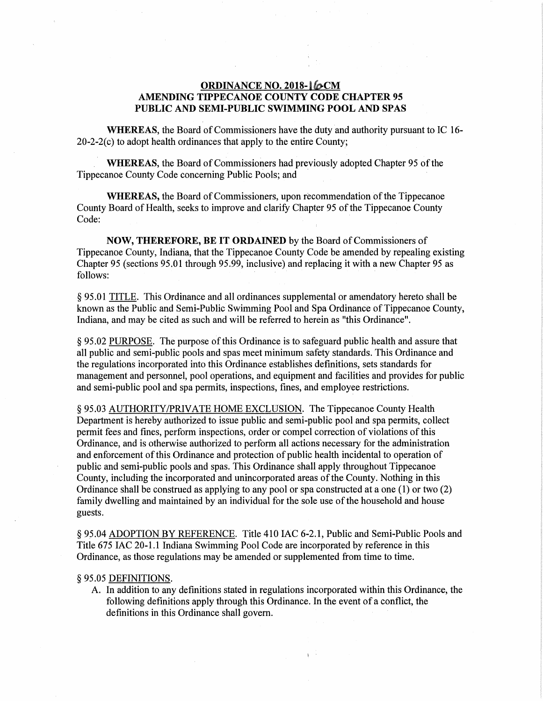# **ORDINANCE NO. 2018-16CM** AMENDING TIPPECANOE COUNTY CODE CHAPTER 95 PUBLIC AND SEMI-PUBLIC SWIMMING POOL AND SPAS

WHEREAS, the Board of Commissioners have the duty and authority pursuant to IC 16-  $20-2-2(c)$  to adopt health ordinances that apply to the entire County;

WHEREAS, the Board of Commissioners had previously adopted Chapter 95 of the Tippecanoe County Code concerning Public Pools; and ·

WHEREAS, the Board of Commissioners, upon recommendation of the Tippecanoe County Board of Health, seeks to improve and clarify Chapter 95 of the Tippecanoe County Code:

NOW, THEREFORE, BE IT ORDAINED by the Board of Commissioners of Tippecanoe County, Indiana, that the Tippecanoe County Code be amended by repealing existing Chapter 95 (sections 95.01 through 95.99, inclusive) and replacing it with a new Chapter 95 as follows:

§ 95.01 TITLE. This Ordinance and all ordinances supplemental or amendatory hereto shall be known as the Public and Semi-Public Swimming Pool and Spa Ordinance of Tippecanoe County, Indiana, and may be cited as such and will be referred to herein as "this Ordinance".

§ 95.02 PURPOSE. The purpose of this Ordinance is to safeguard public health and assure that all public and semi-public pools and spas meet minimum safety standards. This Ordinance and the regulations incorporated into this Ordinance establishes definitions, sets standards for management and personnel, pool operations, and equipment and facilities and provides for public and semi-public pool and spa permits, inspections, fines, and employee restrictions.

§ 95.03 AUTHORITY/PRIVATE HOME EXCLUSION. The Tippecanoe County Health Department is hereby authorized to issue public and semi-public pool and spa permits, collect permit fees and fines, perform inspections, order or compel correction of violations of this Ordinance, and is otherwise authorized to perform all actions necessary for the administration and enforcement of this Ordinance and protection of public health incidental to operation of public and semi-public pools and spas. This Ordinance shall apply throughout Tippecanoe County, including the incorporated and unincorporated areas of the County. Nothing in this Ordinance shall be construed as applying to any pool or spa constructed at a one (1) or two (2) family dwelling and maintained by an individual for the sole use of the household and house guests.

§ 95.04 ADOPTION BY REFERENCE. Title 410 IAC 6-2.1, Public and Semi-Public Pools and Title 675 IAC 20-1.1 Indiana Swimming Pool Code are incorporated by reference in this Ordinance, as those regulations may be amended or supplemented from time to time.

### § 95.05 DEFINITIONS.

A. In addition to any definitions stated in regulations incorporated within this Ordinance, the following definitions apply through this Ordinance. In the event of a conflict, the definitions in this Ordinance shall govern.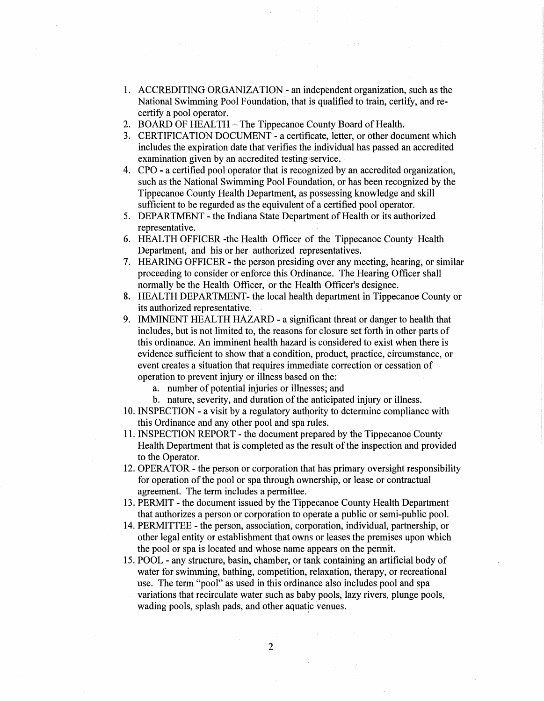- 1. ACCREDITING ORGANIZATION an independent organization, such as the National Swimming Pool Foundation, that is qualified to train, certify, and recertify a pool operator.
- 2. BOARD OF HEALTH- The Tippecanoe County Board of Health.
- 3. CERTIFICATION DOCUMENT- a certificate, letter, or other document which includes the expiration date that verifies the individual has passed an accredited examination given by an accredited testing service.
- 4. CPO a certified pool operator that is recognized by an accredited organization, such as the National Swimming Pool Foundation, or has been recognized by the Tippecanoe County Health Department, as possessing knowledge and skill sufficient to be regarded as the equivalent of a certified pool operator.
- 5. DEPARTMENT- the Indiana State Department of Health or its authorized representative.
- 6. HEAL TH OFFICER -the Health Officer of the Tippecanoe County Health Department, and his or her authorized representatives.
- 7. HEARING OFFICER- the person presiding over any meeting, hearing, or similar proceeding to consider or enforce this Ordinance. The Hearing Officer shall normally be the Health Officer, or the Health Officer's designee.
- 8. HEALTH DEPARTMENT- the local health department in Tippecanoe County or its authorized representative.
- 9. IMMINENT HEALTH HAZARD a significant threat or danger to health that includes, but is not limited to, the reasons for closure set forth in other parts of this ordinance. An imminent health hazard is considered to exist when there is evidence sufficient to show that a condition, product, practice, circumstance, or event creates a situation that requires immediate correction or cessation of operation to prevent injury or illness based on the:
	- a. number of potential injuries or illnesses; and
	- b. nature, severity, and duration of the anticipated injury or illness.
- 10. INSPECTION a visit by a regulatory authority to determine compliance with this Ordinance and any other pool and spa rules.
- 11. INSPECTION REPORT the document prepared by the Tippecanoe County Health Department that is completed as the result of the inspection and provided to the Operator.
- 12. OPERATOR- the person or corporation that has primary oversight responsibility for operation of the pool or spa through ownership, or lease or contractual agreement. The term includes a permittee.
- 13. PERMIT the document issued by the Tippecanoe County Health Department that authorizes a person or corporation to operate a public or semi-public pool.
- 14. PERMITTEE the person, association, corporation, individual, partnership, or other legal entity or establishment that owns or leases the premises upon which the pool or spa is located and whose name appears on the permit.
- 15. POOL any structure, basin, chamber, or tank containing an artificial body of water for swimming, bathing, competition, relaxation, therapy, or recreational use. The term "pool" as used in this ordinance also includes pool and spa variations that recirculate water such as baby pools, lazy rivers, plunge pools, wading pools, splash pads, and other aquatic venues.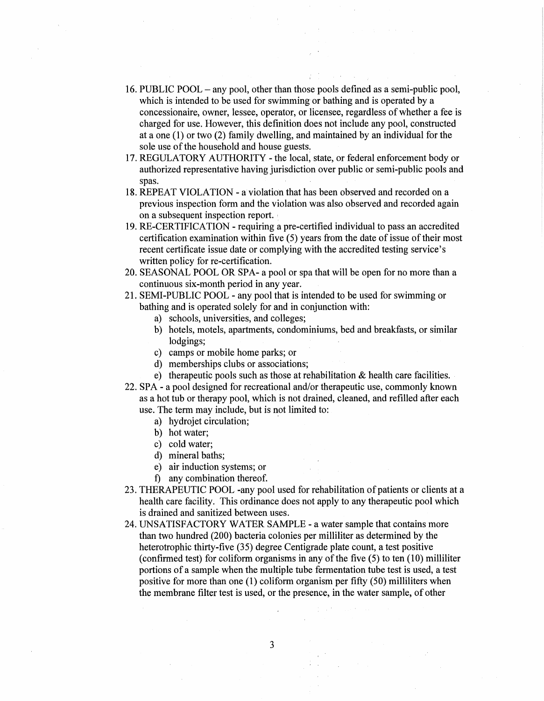- 16. PUBLIC POOL any pool, other than those pools defined as a semi-public pool, which is intended to be used for swimming or bathing and is operated by a concessionaire, owner, lessee, operator, or licensee, regardless of whether a fee is charged for use. However, this definition does not include any pool, constructed at a one (1) or two (2) family dwelling, and maintained by an individual for the sole use of the household and house guests:
- 17. REGULATORY AUTHORITY the local, state, or federal enforcement body or authorized representative having jurisdiction over public or semi-public pools and spas.
- 18. REPEAT VIOLATION a violation that has been observed and recorded on a previous inspection form and the violation was also observed and recorded again on a subsequent inspection report.
- 19. RE-CERTIFICATION requiring a pre-certified individual to pass an accredited certification examination within five  $(5)$  years from the date of issue of their most recent certificate issue date or complying with the accredited testing service's written policy for re-certification.
- 20. SEASONAL POOL OR SPA- a pool or spa that will be open for no more than a continuous six-month period in any year.
- 21. SEMI-PUBLIC POOL any pool that is intended to be used for swimming or bathing and is operated solely for and in conjunction with:
	- a) schools, universities, and colleges;
	- b) hotels, motels, apartments, condominiums, bed and breakfasts, or similar lodgings;
	- c) camps or mobile home parks; or
	- d) memberships clubs or associations;
	- e) therapeutic pools such as those at rehabilitation & health care facilities.
- 22. SPA a pool designed for recreational and/or therapeutic use, commonly known as a hot tub or therapy pool, which is not drained, cleaned, and refilled after each use. The term may include, but is not limited to:
	- a) hydrojet circulation;
	- b) hot water;
	- c) cold water;
	- d) mineral baths;
	- e) air induction systems; or
	- f) any combination thereof.
- 23. THERAPEUTIC POOL -any pool used for rehabilitation of patients or clients at a health care facility. This ordinance does not apply to any therapeutic pool which is drained and sanitized between uses.
- 24. UNSATISFACTORY WATER SAMPLE- a water sample that contains more than two hundred (200) bacteria colonies per milliliter as determined by the heterotrophic thirty-five (35) degree Centigrade plate count, a test positive (confirmed test) for coliform organisms in any of the five (5) to ten (10) milliliter portions of a sample when the multiple tube fermentation tube test is used, a test positive for more than one (1) coliform organism per fifty (50) milliliters when the membrane filter test is used, or the presence, in the water sample, of other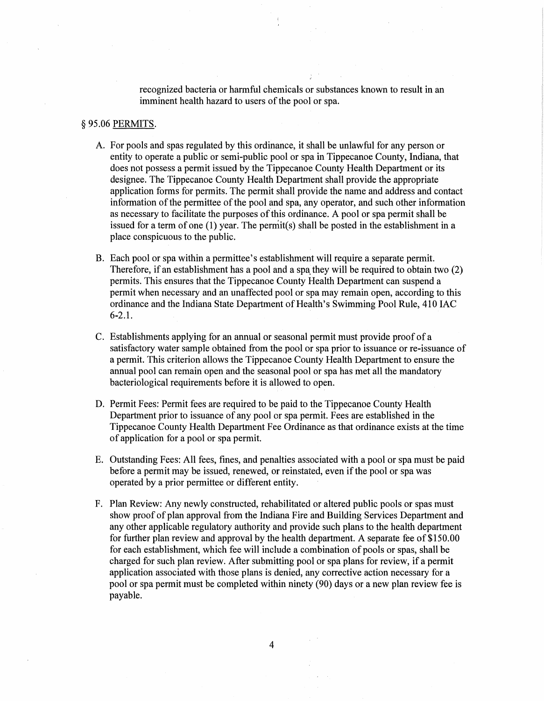recognized bacteria or harmful chemicals or substances known to result in an imminent health hazard to users of the pool or spa.

## § 95.06 PERMITS.

- A. For pools and spas regulated by this ordinance, it shall be unlawful for any person or entity to operate a public or semi-public pool or spa in Tippecanoe County, Indiana, that does not possess a permit issued by the Tippecanoe County Health Department or its designee. The Tippecanoe County Health Department shall provide the appropriate application forms for permits. The permit shall provide the name and address and contact information of the permittee of the pool and spa, any operator, and such other information as necessary to facilitate the purposes of this ordinance. A pool or spa permit shall be issued for a term of one (1) year. The permit(s) shall be posted in the establishment in a place conspicuous to the public.
- B. Each pool or spa within a permittee's establishment will require a separate permit. Therefore, if an establishment has a pool and a spa they will be required to obtain two (2) permits. This ensures that the Tippecanoe County Health Department can suspend a permit when necessary and an unaffected pool or spa may remain open, according to this ordinance and the Indiana State Department of Health's Swimming Pool Rule, 410 IAC 6-2.1.
- C. Establishments applying for an annual or seasonal permit must provide proof of a satisfactory water sample obtained from the pool or spa prior to issuance or re-issuance of a permit. This criterion allows the Tippecanoe County Health Department to ensure the annual pool can remain open and the seasonal pool or spa has met all the mandatory bacteriological requirements before it is allowed to open.
- D. Permit Fees: Permit fees are required to be paid to the Tippecanoe County Health Department prior to issuance of any pool or spa permit. Fees are established in the Tippecanoe County Health Department Fee Ordinance as that ordinance exists at the time of application for a pool or spa permit.
- E. Outstanding Fees: All fees, fines, and penalties associated with a pool or spa must be paid before a permit may be issued, renewed, or reinstated, even if the pool or spa was operated by a prior permittee or different entity.
- F. Plan Review: Any newly constructed, rehabilitated or altered public pools or spas must show proof of plan approval from the Indiana Fire and Building Services Department and any other applicable regulatory authority and provide such plans to the health department for further plan review and approval by the health department. A separate fee of \$150.00 for each establishment, which fee will include a combination of pools or spas, shall be charged for such plan review. After submitting pool or spa plans for review, if a permit application associated with those plans is denied, any corrective action necessary for a pool or spa permit must be completed within ninety (90) days or a new plan review fee is payable.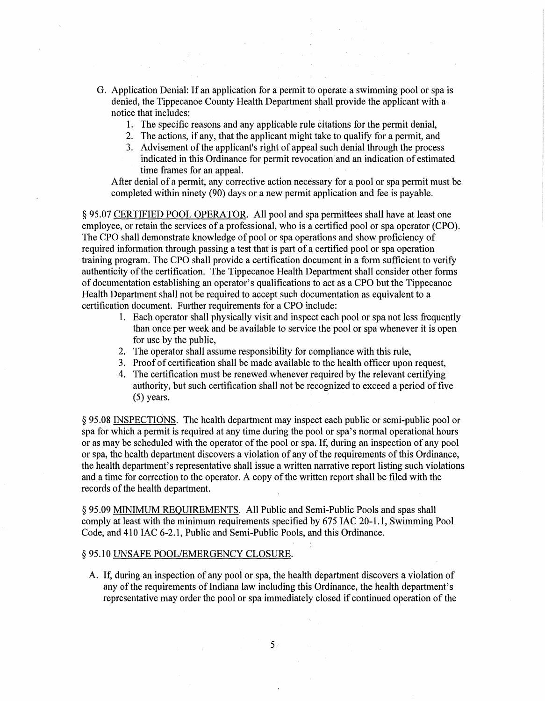- G. Application Denial: If an application for a permit to operate a swimming pool or spa is denied, the Tippecanoe County Health Department shall provide the applicant with a notice that includes:
	- 1. The specific reasons and any applicable rule citations for the permit denial,
	- 2. The actions, if any, that the applicant might take to qualify for a permit, and
	- 3. Advisement of the applicant's right of appeal such denial through the process indicated in this Ordinance for permit revocation and an indication of estimated time frames for an appeal.

After denial of a permit, any corrective action necessary for a pool or spa permit must be completed within ninety (90) days or a new permit application and fee is payable.

§ 95.07 CERTIFIED POOL OPERATOR. All pool and spa permittees shall have at least one employee, or retain the services of a professional, who is a certified pool or spa operator (CPO). The CPO shall demonstrate knowledge of pool or spa operations and show proficiency of required information through passing a test that is part of a certified pool or spa operation training program. The CPO shall provide a certification document in a form sufficient to verify authenticity of the certification. The Tippecanoe Health Department shall consider other forms of documentation establishing an operator's qualifications to act as a CPO but the Tippecanoe Health Department shall not be required to accept such documentation as equivalent to a certification document. Further requirements for a CPO include:

- 1. Each operator shall physically visit and inspect each pool or spa not less frequently than once per week and be available to service the pool or spa whenever it is open for use by the public,
- 2. The operator shall assume responsibility for compliance with this rule,
- 3. Proof of certification shall be made available to the health officer upon request,
- 4. The certification must be renewed whenever required by the relevant certifying authority, but such certification shall not be recognized to exceed a period of five (5) years.

§ 95.08 INSPECTIONS. The health department may inspect each public or semi-public pool or spa for which a permit is required at any time during the pool or spa's normal operational hours or as may be scheduled with the operator of the pool or spa. If, during an inspection of any pool or spa, the health department discovers a violation of any of the requirements of this Ordinance, the health department's representative shall issue a written narrative report listing such violations and a time for correction to the operator. A copy of the written report shall be filed with the records of the health department.

§ 95.09 MINIMUM REQUIREMENTS. All Public and Semi-Public Pools and spas shall comply at least with the minimum requirements specified by 675 IAC 20-1.1, Swimming Pool Code, and 410 IAC 6-2.1, Public and Semi-Public Pools, and this Ordinance.

# § 95.10 UNSAFE POOL/EMERGENCY CLOSURE.

A. If, during an inspection of any pool or spa, the health department discovers a violation of any of the requirements of Indiana law including this Ordinance, the health department's representative may order the pool or spa immediately closed if continued operation of the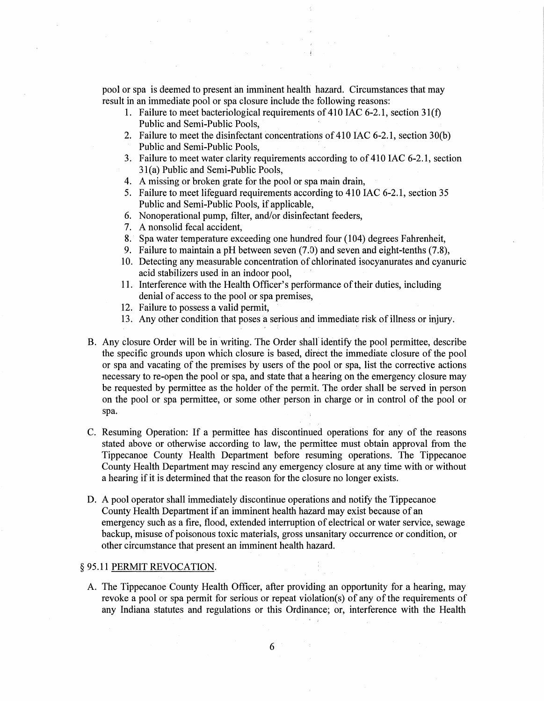pool or spa is deemed to present an imminent health hazard. Circumstances that may result in an immediate pool or spa closure include the following reasons:

- 1. Failure to meet bacteriological requirements of 410 IAC 6-2.1, section 3l(f) Public and Semi-Public Pools,
- 2. Failure to meet the disinfectant concentrations of 410 IAC 6-2.1, section  $30(b)$ Public and Semi-Public Pools,
- 3. Failure to meet water clarity requirements according to of 410 IAC 6-2.1, section 3 l(a) Public and Semi-Public Pools,
- 4. A missing or broken grate for the pool or spa main drain,
- 5. Failure to meet lifeguard requirements according to 410 IAC 6-2.1, section 35 Public and Semi-Public Pools, if applicable,
- 6. Nonoperational pump, filter, and/or disinfectant feeders,
- 7. A nonsolid fecal accident,
- 8. Spa water temperature exceeding one hundred four (104) degrees Fahrenheit,
- 9. Failure to maintain a pH between seven (7.0) and seven and eight-tenths (7.8),
- 10. Detecting any measurable concentration of chlorinated isocyanurates and cyanuric acid stabilizers used in an indoor pool,
- 11. Interference with the Health Officer's performance of their duties, including denial of access to the pool or spa premises,
- 12. Failure to possess a valid permit,
- 13. Any other condition that poses a serious and immediate risk of illness or injury.
- B. Any closure Order will be in writing. The Order shall identify the pool permittee, describe the specific grounds upon which closure is based, direct the immediate closure of the pool or spa and vacating of the premises by users of the pool or spa, list the corrective actions necessary to re-open the pool or spa, and state that a hearing on the emergency closure may be requested by permittee as the holder of the permit. The order shall be served in person on the pool or spa permittee, or some other person in charge or in control of the pool or spa.
- C. Resuming Operation: If a permittee has discontinued operations for any of the reasons stated above or otherwise according to law, the permittee must obtain approval from the Tippecanoe County Health Department before resuming operations. The Tippecanoe County Health Department may rescind any emergency closure at any time with or without a hearing if it is determined that the reason for the closure no longer exists.
- D. A pool operator shall immediately discontinue operations and notify the Tippecanoe County Health Department if an imminent health hazard may exist because of an emergency such as a fire, flood, extended interruption of electrical or water service, sewage backup, misuse of poisonous toxic materials, gross unsanitary occurrence or condition, or other circumstance that present an imminent health hazard.

### § 95.11 PERMIT REVOCATION.

A. The Tippecanoe County Health Officer, after providing an opportunity for a hearing, may revoke a pool or spa permit for serious or repeat violation(s) of any of the requirements of any Indiana statutes and regulations or this Ordinance; or, interference with the Health

6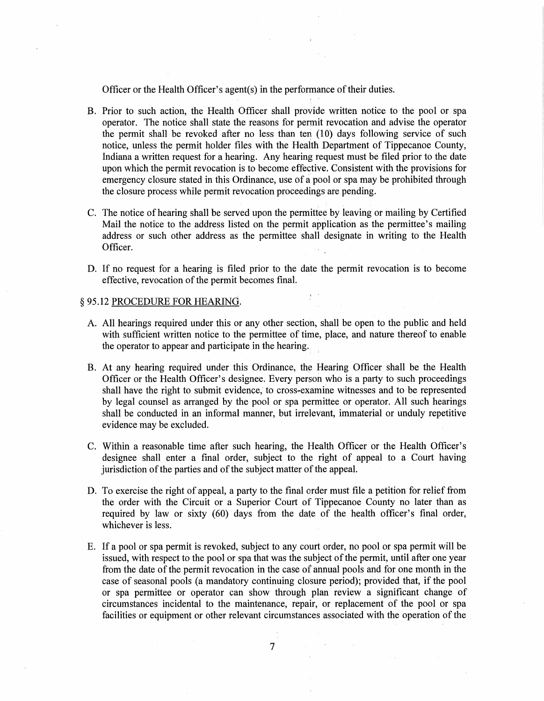Officer or the Health Officer's agent(s) in the performance of their duties.

- B. Prior to such action, the Health Officer shall provide written notice to the pool or spa operator. The notice shall state the reasons for permit revocation and advise the operator the permit shall be revoked after no less than ten  $(10)$  days following service of such notice, unless the permit holder files with the Health Department of Tippecanoe County, Indiana a written request for a hearing. Any hearing request must be filed prior to the date upon which the permit revocation is to become effective. Consistent with the provisions for emergency closure stated in this Ordinance, use of a pool or spa may be prohibited through the closure process while permit revocation proceedings are pending.
- C. The notice of hearing shall be served upon the permittee by leaving or mailing by Certified Mail the notice to the address listed on the permit application as the permittee's mailing address or such other address as the permittee shall designate in writing to the Health Officer.
- D. If no request for a hearing is filed prior to the date the permit revocation is to become effective, revocation of the permit becomes final.

#### § 95.12 PROCEDURE FOR HEARING.

- A. All hearings required under this or any other section, shall be open to the public and held with sufficient written notice to the permittee of time, place, and nature thereof to enable the operator to appear and participate in the hearing.
- B. At any hearing required under this Ordinance, the Hearing Officer shall be the Health Officer or the Health Officer's designee. Every person who is a party to such proceedings shall have the right to submit evidence, to cross-examine witnesses and to be represented by legal counsel as arranged by the pool or spa permittee or operator. All such hearings shall be conducted in an informal manner, but irrelevant, immaterial or unduly repetitive evidence may be excluded.
- C. Within a reasonable time after such hearing, the Health Officer or the Health Officer's designee shall enter a final order, subject to the right of appeal to a Court having jurisdiction of the parties and of the subject matter of the appeal.
- D. To exercise the right of appeal, a party to the final order must file a petition for relief from the order with the Circuit or a Superior Court of Tippecanoe County no later than as required by law or sixty (60) days from the date of the health officer's final order, whichever is less.
- E. If a pool or spa permit is revoked, subject to any court order, no pool or spa permit will be issued, with respect to the pool or spa that was the subject of the permit, until after one year from the date of the permit revocation in the case of annual pools and for one month in the case of seasonal pools (a mandatory continuing closure period); provided that, if the pool or spa permittee or operator can show through plan review a significant change of circumstances incidental to the maintenance, repair, or replacement of the pool or spa facilities or equipment or other relevant circumstances associated with the operation of the

7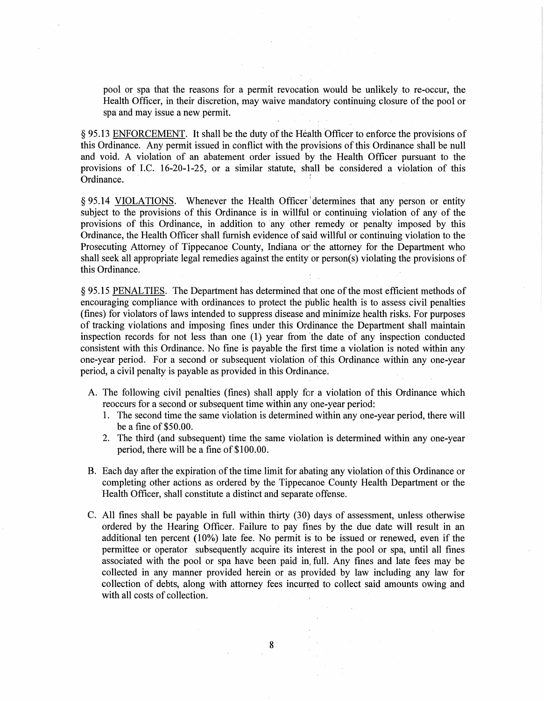pool or spa that the reasons for a permit revocation would be unlikely to re-occur, the Health Officer, in their discretion, may waive mandatory continuing closure of the pool or spa and may issue a new permit.

§ 95.13 ENFORCEMENT. It shall be the duty of the Health Officer to enforce the provisions of this Ordinance. Any permit issued in conflict with the provisions of this Ordinance shall be null and void. A violation of an abatement order issued by the Health Officer pursuant to the provisions of I.C. 16-20-1-25, or a similar statute, shall be considered a violation of this Ordinance. *:* 

§ 95.14 VIOLATIONS. Whenever the Health Officer) determines that any person or entity subject to the provisions of this Ordinance is in willful or continuing violation of any of the provisions of this Ordinance, in addition to any other remedy or penalty imposed by this Ordinance, the Health Officer shall furnish evidence of said willful or continuing violation to the Prosecuting Attorney of Tippecanoe County, Indiana or the attorney for the Department who shall seek all appropriate legal remedies against the entity or person(s) violating the provisions of this Ordinance.

§ 95.15 PENALTIES. The Department has determined that one of the most efficient methods of encouraging compliance with ordinances to protect the public health is to assess civil penalties (fines) for violators of laws intended to suppress disease and minimize health risks. For purposes of tracking violations and imposing fines under this Ordinance the Department shall maintain inspection records for not less than one (1) year from 'the date of any inspection conducted consistent with this Ordinance. No fine is payable the first time a violation is noted within any one-year period. For a second or subsequent violation of this Ordinance within any one-year period, a civil penalty is payable as provided in this Ordinance.

- A. The following civil penalties (fines) shall apply for a violation of this Ordinance which reoccurs for a second or subsequent time within any one-year period:
	- 1. The second time the same violation is determined within any one-year period, there will be a fine of \$50.00.
	- 2. The third (and subsequent) time the same violation is determined within any one-year period, there will be a fine of \$100.00.
- B. Each day after the expiration of the time limit for abating any violation of this Ordinance or completing other actions as ordered by the Tippecanoe County Health Department or the Health Officer, shall constitute a distinct and separate offense.
- C. All fines shall be payable in full within thirty (30) days of assessment, unless otherwise ordered by the Hearing Officer. Failure to pay fines by the due date will result in an additional ten percent (10%) late fee. No permit is to be issued or renewed, even if the permittee or operator subsequently acquire its interest in the pool or spa, until all fines associated with the pool or spa have been paid in full. Any fines and late fees may be collected in any manner provided herein or as provided by law including any law for collection of debts, along with attorney fees incurred to collect said amounts owing and with all costs of collection.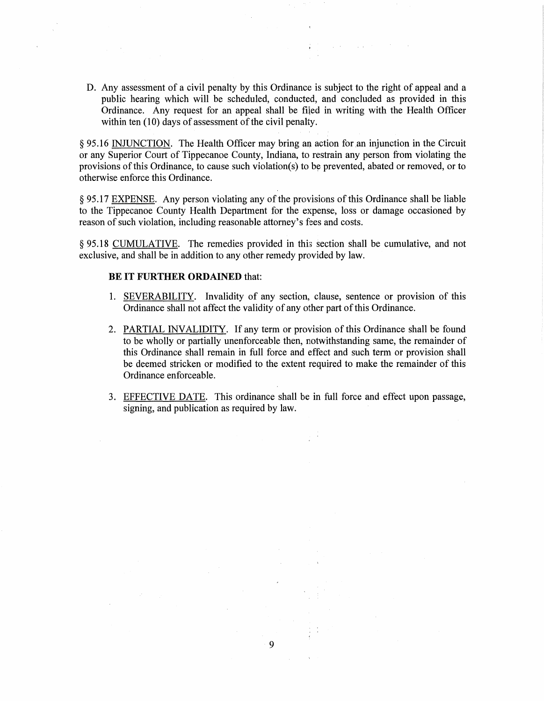D. Any assessment of a civil penalty by this Ordinance is subject to the right of appeal and a public hearing which will be scheduled, conducted, and concluded as provided in this Ordinance. Any request for an appeal shall be filed in writing with the Health Officer within ten (10) days of assessment of the civil penalty.

§ 95.16 INJUNCTION. The Health Officer may bring an action for an injunction in the Circuit or any Superior Court of Tippecanoe County, Indiana, to restrain any person from violating the provisions of this Ordinance, to cause such violation(s) to be prevented, abated or removed, or to otherwise enforce this Ordinance.

§ 95.17 EXPENSE. Any person violating any of the provisions of this Ordinance shall be liable to the Tippecanoe County Health Department for the expense, loss or damage occasioned by reason of such violation, including reasonable attorney's fees and costs.

§ 95.18 CUMULATIVE. The remedies provided in this section shall be cumulative, and not exclusive, and shall be in addition to any other remedy provided by law.

## **BE IT FURTHER ORDAINED** that:

- 1. SEVERABILITY. Invalidity of any section, clause, sentence or provision of this Ordinance shall not affect the validity of any other part of this Ordinance.
- 2. PARTIAL INVALIDITY. If any term or provision of this Ordinance shall be found to be wholly or partially unenforceable then, notwithstanding same, the remainder of this Ordinance shall remain in full force and effect and such term or provision shall be deemed stricken or modified to the extent required to make the remainder of this Ordinance enforceable.
- 3. EFFECTIVE DATE. This ordinance shall be in full force and effect upon passage, signing, and publication as required by law.

9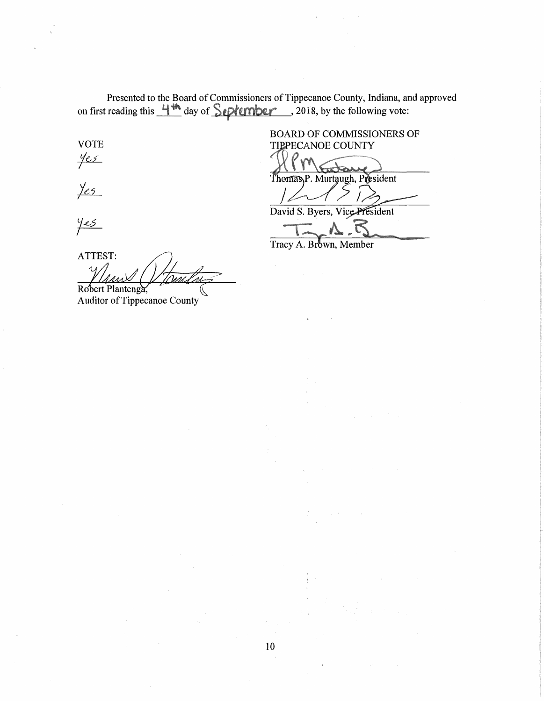Presented to the Board of Commissioners of Tippecanoe County, Indiana, and approved on first reading this  $\frac{4\pi}{3}$  day of  $\frac{2010}{2}$ , 2018, by the following vote:

 $rac{y_{e5}}{x}$ 

 $y_{es}$ 

BOARD OF COMMISSIONERS OF VOTE TIPPECANOE COUNTY

Thomas P. Murtaugh, President

7

David S. Byers, Vice President

Tracy A. Brown, Member

 $y_{es}$ 

 $ATTEST:$ <br> $MA = \sqrt{77}$ ...<br>... V/*tomln2* <u>Maax VI John.</u><br>Robert Plantenga,

Auditor of Tippecanoe County

 $\mathcal{E}_1 = 1$